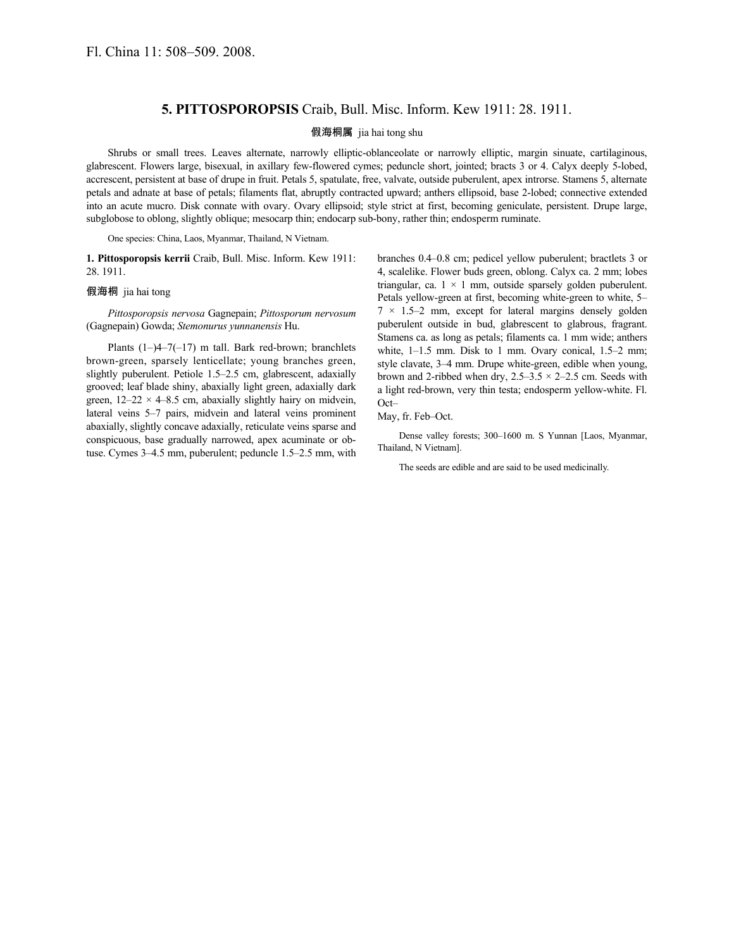## **5. PITTOSPOROPSIS** Craib, Bull. Misc. Inform. Kew 1911: 28. 1911.

## 假海桐属 jia hai tong shu

Shrubs or small trees. Leaves alternate, narrowly elliptic-oblanceolate or narrowly elliptic, margin sinuate, cartilaginous, glabrescent. Flowers large, bisexual, in axillary few-flowered cymes; peduncle short, jointed; bracts 3 or 4. Calyx deeply 5-lobed, accrescent, persistent at base of drupe in fruit. Petals 5, spatulate, free, valvate, outside puberulent, apex introrse. Stamens 5, alternate petals and adnate at base of petals; filaments flat, abruptly contracted upward; anthers ellipsoid, base 2-lobed; connective extended into an acute mucro. Disk connate with ovary. Ovary ellipsoid; style strict at first, becoming geniculate, persistent. Drupe large, subglobose to oblong, slightly oblique; mesocarp thin; endocarp sub-bony, rather thin; endosperm ruminate.

One species: China, Laos, Myanmar, Thailand, N Vietnam.

**1. Pittosporopsis kerrii** Craib, Bull. Misc. Inform. Kew 1911: 28. 1911.

## 假海桐 jia hai tong

*Pittosporopsis nervosa* Gagnepain; *Pittosporum nervosum* (Gagnepain) Gowda; *Stemonurus yunnanensis* Hu.

Plants  $(1-4-7(-17))$  m tall. Bark red-brown; branchlets brown-green, sparsely lenticellate; young branches green, slightly puberulent. Petiole 1.5–2.5 cm, glabrescent, adaxially grooved; leaf blade shiny, abaxially light green, adaxially dark green,  $12-22 \times 4-8.5$  cm, abaxially slightly hairy on midvein, lateral veins 5–7 pairs, midvein and lateral veins prominent abaxially, slightly concave adaxially, reticulate veins sparse and conspicuous, base gradually narrowed, apex acuminate or obtuse. Cymes 3–4.5 mm, puberulent; peduncle 1.5–2.5 mm, with branches 0.4–0.8 cm; pedicel yellow puberulent; bractlets 3 or 4, scalelike. Flower buds green, oblong. Calyx ca. 2 mm; lobes triangular, ca.  $1 \times 1$  mm, outside sparsely golden puberulent. Petals yellow-green at first, becoming white-green to white, 5–  $7 \times 1.5-2$  mm, except for lateral margins densely golden puberulent outside in bud, glabrescent to glabrous, fragrant. Stamens ca. as long as petals; filaments ca. 1 mm wide; anthers white, 1-1.5 mm. Disk to 1 mm. Ovary conical, 1.5-2 mm; style clavate, 3–4 mm. Drupe white-green, edible when young, brown and 2-ribbed when dry,  $2.5-3.5 \times 2-2.5$  cm. Seeds with a light red-brown, very thin testa; endosperm yellow-white. Fl. Oct–

May, fr. Feb–Oct.

Dense valley forests; 300–1600 m. S Yunnan [Laos, Myanmar, Thailand, N Vietnam].

The seeds are edible and are said to be used medicinally.